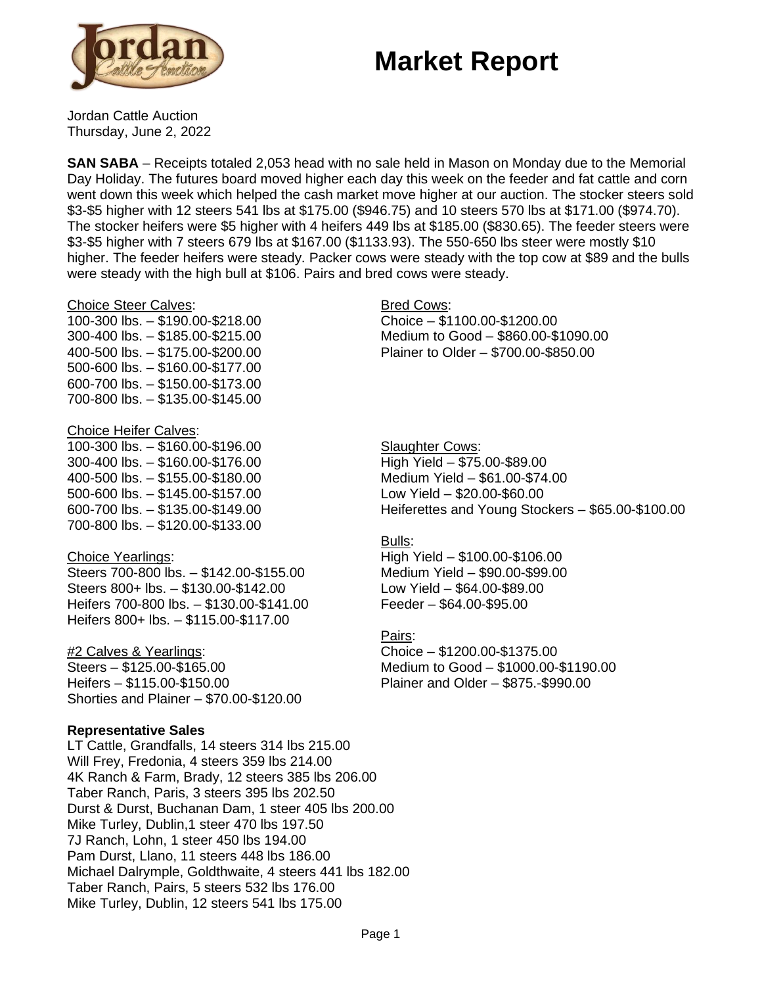## **Market Report**



Jordan Cattle Auction Thursday, June 2, 2022

**SAN SABA** – Receipts totaled 2,053 head with no sale held in Mason on Monday due to the Memorial Day Holiday. The futures board moved higher each day this week on the feeder and fat cattle and corn went down this week which helped the cash market move higher at our auction. The stocker steers sold \$3-\$5 higher with 12 steers 541 lbs at \$175.00 (\$946.75) and 10 steers 570 lbs at \$171.00 (\$974.70). The stocker heifers were \$5 higher with 4 heifers 449 lbs at \$185.00 (\$830.65). The feeder steers were \$3-\$5 higher with 7 steers 679 lbs at \$167.00 (\$1133.93). The 550-650 lbs steer were mostly \$10 higher. The feeder heifers were steady. Packer cows were steady with the top cow at \$89 and the bulls were steady with the high bull at \$106. Pairs and bred cows were steady.

#### Choice Steer Calves:

100-300 lbs. – \$190.00-\$218.00 300-400 lbs. – \$185.00-\$215.00 400-500 lbs. – \$175.00-\$200.00 500-600 lbs. – \$160.00-\$177.00 600-700 lbs. – \$150.00-\$173.00 700-800 lbs. – \$135.00-\$145.00

### Choice Heifer Calves:

100-300 lbs. – \$160.00-\$196.00 300-400 lbs. – \$160.00-\$176.00 400-500 lbs. – \$155.00-\$180.00 500-600 lbs. – \$145.00-\$157.00 600-700 lbs. – \$135.00-\$149.00 700-800 lbs. – \$120.00-\$133.00

## Choice Yearlings:

Steers 700-800 lbs. – \$142.00-\$155.00 Steers 800+ lbs. – \$130.00-\$142.00 Heifers 700-800 lbs. – \$130.00-\$141.00 Heifers 800+ lbs. – \$115.00-\$117.00

### #2 Calves & Yearlings:

Steers – \$125.00-\$165.00 Heifers – \$115.00-\$150.00 Shorties and Plainer – \$70.00-\$120.00

## **Representative Sales**

LT Cattle, Grandfalls, 14 steers 314 lbs 215.00 Will Frey, Fredonia, 4 steers 359 lbs 214.00 4K Ranch & Farm, Brady, 12 steers 385 lbs 206.00 Taber Ranch, Paris, 3 steers 395 lbs 202.50 Durst & Durst, Buchanan Dam, 1 steer 405 lbs 200.00 Mike Turley, Dublin,1 steer 470 lbs 197.50 7J Ranch, Lohn, 1 steer 450 lbs 194.00 Pam Durst, Llano, 11 steers 448 lbs 186.00 Michael Dalrymple, Goldthwaite, 4 steers 441 lbs 182.00 Taber Ranch, Pairs, 5 steers 532 lbs 176.00 Mike Turley, Dublin, 12 steers 541 lbs 175.00

Bred Cows:

Choice – \$1100.00-\$1200.00 Medium to Good – \$860.00-\$1090.00 Plainer to Older – \$700.00-\$850.00

Slaughter Cows: High Yield – \$75.00-\$89.00 Medium Yield – \$61.00-\$74.00 Low Yield – \$20.00-\$60.00 Heiferettes and Young Stockers – \$65.00-\$100.00

## Bulls:

High Yield – \$100.00-\$106.00 Medium Yield – \$90.00-\$99.00 Low Yield – \$64.00-\$89.00 Feeder – \$64.00-\$95.00

## Pairs:

Choice – \$1200.00-\$1375.00 Medium to Good – \$1000.00-\$1190.00 Plainer and Older – \$875.-\$990.00